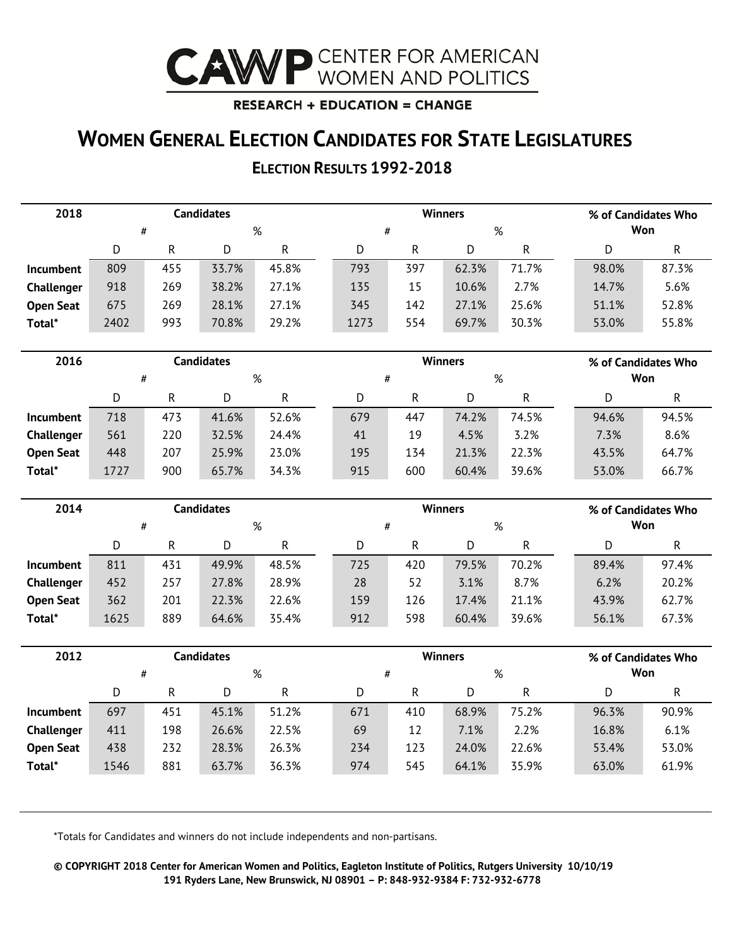

#### **RESEARCH + EDUCATION = CHANGE**

### **WOMEN GENERAL ELECTION CANDIDATES FOR STATE LEGISLATURES**

### **ELECTION RESULTS 1992-2018**

| 2018             |      |     | <b>Candidates</b> |           |      |              | <b>Winners</b> |              |       | % of Candidates Who |
|------------------|------|-----|-------------------|-----------|------|--------------|----------------|--------------|-------|---------------------|
|                  | #    |     |                   | %         |      | $\#$         |                | %            |       | Won                 |
|                  | D    | R   | D                 | ${\sf R}$ | D    | R            | D              | $\mathsf{R}$ | D     | R                   |
| <b>Incumbent</b> | 809  | 455 | 33.7%             | 45.8%     | 793  | 397          | 62.3%          | 71.7%        | 98.0% | 87.3%               |
| Challenger       | 918  | 269 | 38.2%             | 27.1%     | 135  | 15           | 10.6%          | 2.7%         | 14.7% | 5.6%                |
| <b>Open Seat</b> | 675  | 269 | 28.1%             | 27.1%     | 345  | 142          | 27.1%          | 25.6%        | 51.1% | 52.8%               |
| Total*           | 2402 | 993 | 70.8%             | 29.2%     | 1273 | 554          | 69.7%          | 30.3%        | 53.0% | 55.8%               |
|                  |      |     |                   |           |      |              |                |              |       |                     |
| 2016             |      |     | <b>Candidates</b> |           |      |              | <b>Winners</b> |              |       | % of Candidates Who |
|                  | #    |     |                   | %         | $\#$ |              |                | %            |       | Won                 |
|                  | D    | R   | D                 | R         | D    | $\mathsf{R}$ | D              | $\mathsf{R}$ | D     | R                   |
| Incumbent        | 718  | 473 | 41.6%             | 52.6%     | 679  | 447          | 74.2%          | 74.5%        | 94.6% | 94.5%               |
| Challenger       | 561  | 220 | 32.5%             | 24.4%     | 41   | 19           | 4.5%           | 3.2%         | 7.3%  | 8.6%                |
| <b>Open Seat</b> | 448  | 207 | 25.9%             | 23.0%     | 195  | 134          | 21.3%          | 22.3%        | 43.5% | 64.7%               |
| Total*           | 1727 | 900 | 65.7%             | 34.3%     | 915  | 600          | 60.4%          | 39.6%        | 53.0% | 66.7%               |
|                  |      |     |                   |           |      |              |                |              |       |                     |
| 2014             |      |     | <b>Candidates</b> |           |      |              | <b>Winners</b> |              |       | % of Candidates Who |
|                  | #    |     |                   | %         |      | #            |                | %            |       | Won                 |
|                  | D    | R   | D                 | ${\sf R}$ | D    | R            | D              | R            | D     | R                   |
| <b>Incumbent</b> | 811  | 431 | 49.9%             | 48.5%     | 725  | 420          | 79.5%          | 70.2%        | 89.4% | 97.4%               |

| <b>Incumbent</b> | 811  | 431 | 49.9% | 48.5% | 725 | 420 | 79.5% | 70.2% | 89.4% | 97.4% |
|------------------|------|-----|-------|-------|-----|-----|-------|-------|-------|-------|
| Challenger       | 452  | 257 | 27.8% | 28.9% | 28  | 52  | 3.1%  | 8.7%  | 6.2%  | 20.2% |
| <b>Open Seat</b> | 362  | 201 | 22.3% | 22.6% | 159 | 126 | 17.4% | 21.1% | 43.9% | 62.7% |
| Total*           | 1625 | 889 | 64.6% | 35.4% | 912 | 598 | 60.4% | 39.6% | 56.1% | 67.3% |
|                  |      |     |       |       |     |     |       |       |       |       |

| 2012             |      |     | Candidates |       |     |     | <b>Winners</b> |       | % of Candidates Who |       |
|------------------|------|-----|------------|-------|-----|-----|----------------|-------|---------------------|-------|
|                  | #    |     |            | %     | #   |     | %              |       | Won                 |       |
|                  | D    | R   | D          | R     | D   | R   | D              | R     |                     | R     |
| <b>Incumbent</b> | 697  | 451 | 45.1%      | 51.2% | 671 | 410 | 68.9%          | 75.2% | 96.3%               | 90.9% |
| Challenger       | 411  | 198 | 26.6%      | 22.5% | 69  | 12  | 7.1%           | 2.2%  | 16.8%               | 6.1%  |
| <b>Open Seat</b> | 438  | 232 | 28.3%      | 26.3% | 234 | 123 | 24.0%          | 22.6% | 53.4%               | 53.0% |
| Total*           | 1546 | 881 | 63.7%      | 36.3% | 974 | 545 | 64.1%          | 35.9% | 63.0%               | 61.9% |

\*Totals for Candidates and winners do not include independents and non-partisans.

**© COPYRIGHT 2018 Center for American Women and Politics, Eagleton Institute of Politics, Rutgers University 10/10/19 191 Ryders Lane, New Brunswick, NJ 08901 – P: 848-932-9384 F: 732-932-6778**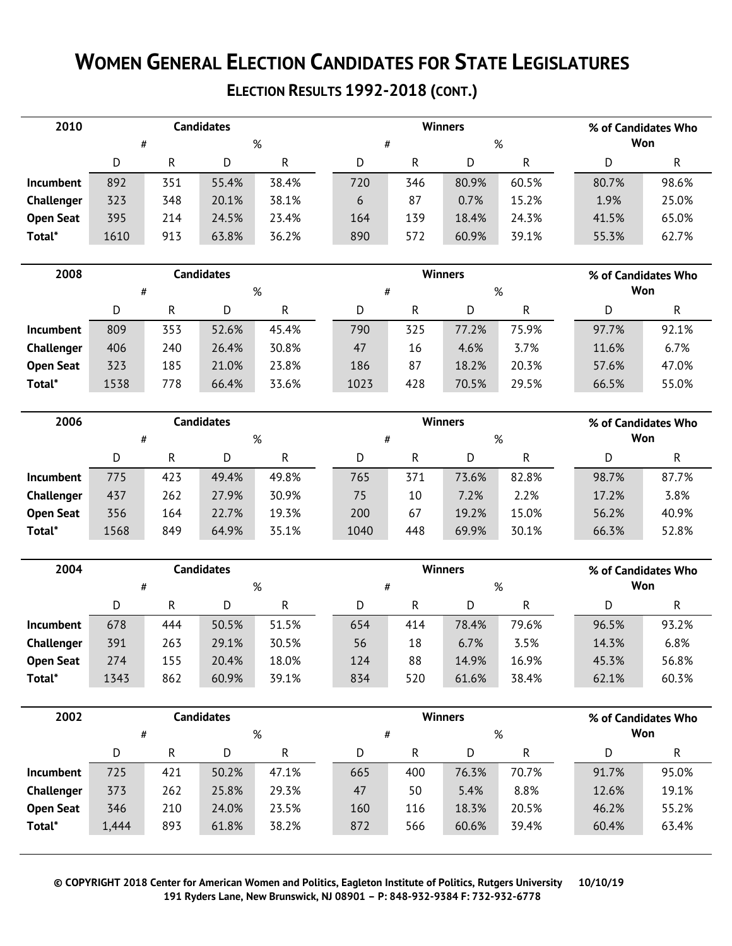# **WOMEN GENERAL ELECTION CANDIDATES FOR STATE LEGISLATURES**

### **ELECTION RESULTS 1992-2018 (CONT.)**

| 2010             |      |             | Candidates |       |     |     | <b>Winners</b> |       |       | % of Candidates Who |
|------------------|------|-------------|------------|-------|-----|-----|----------------|-------|-------|---------------------|
|                  | #    |             |            | %     | #   |     | %              |       | Won   |                     |
|                  | D    | R<br>R<br>D |            |       | D   | R   |                | R     | D     | R                   |
| <b>Incumbent</b> | 892  | 351         | 55.4%      | 38.4% | 720 | 346 | 80.9%          | 60.5% | 80.7% | 98.6%               |
| Challenger       | 323  | 348         | 20.1%      | 38.1% | 6   | 87  | 0.7%           | 15.2% | 1.9%  | 25.0%               |
| <b>Open Seat</b> | 395  | 214         | 24.5%      | 23.4% | 164 | 139 | 18.4%          | 24.3% | 41.5% | 65.0%               |
| Total*           | 1610 | 913         | 63.8%      | 36.2% | 890 | 572 | 60.9%          | 39.1% | 55.3% | 62.7%               |

| 2008              |      |     | Candidates |       |      |     | <b>Winners</b> |       |       | % of Candidates Who |
|-------------------|------|-----|------------|-------|------|-----|----------------|-------|-------|---------------------|
|                   | #    |     |            | %     | #    |     | %              |       |       | Won                 |
|                   | D    | R   | D          | R     |      | R   |                | R     |       | R                   |
| <b>Incumbent</b>  | 809  | 353 | 52.6%      | 45.4% | 790  | 325 | 77.2%          | 75.9% | 97.7% | 92.1%               |
| <b>Challenger</b> | 406  | 240 | 26.4%      | 30.8% | 47   | 16  | 4.6%           | 3.7%  | 11.6% | 6.7%                |
| <b>Open Seat</b>  | 323  | 185 | 21.0%      | 23.8% | 186  | 87  | 18.2%          | 20.3% | 57.6% | 47.0%               |
| Total*            | 1538 | 778 | 66.4%      | 33.6% | 1023 | 428 | 70.5%          | 29.5% | 66.5% | 55.0%               |

| 2006             |      |     | Candidates |       |      |     | <b>Winners</b> |       | % of Candidates Who |       |
|------------------|------|-----|------------|-------|------|-----|----------------|-------|---------------------|-------|
|                  |      | #   |            | %     | #    |     | %              |       | Won                 |       |
|                  | D    | R   | D          | R     | D    | R   | D              | R     | D                   | R     |
| <b>Incumbent</b> | 775  | 423 | 49.4%      | 49.8% | 765  | 371 | 73.6%          | 82.8% | 98.7%               | 87.7% |
| Challenger       | 437  | 262 | 27.9%      | 30.9% | 75   | 10  | 7.2%           | 2.2%  | 17.2%               | 3.8%  |
| <b>Open Seat</b> | 356  | 164 | 22.7%      | 19.3% | 200  | 67  | 19.2%          | 15.0% | 56.2%               | 40.9% |
| Total*           | 1568 | 849 | 64.9%      | 35.1% | 1040 | 448 | 69.9%          | 30.1% | 66.3%               | 52.8% |

| 2004             |      |     | Candidates |       |     |     | <b>Winners</b> |       | % of Candidates Who |       |
|------------------|------|-----|------------|-------|-----|-----|----------------|-------|---------------------|-------|
|                  | #    |     |            | %     | #   |     | %              |       | Won                 |       |
|                  | D    | R   | D          | R     |     | R   |                | R     |                     |       |
| <b>Incumbent</b> | 678  | 444 | 50.5%      | 51.5% | 654 | 414 | 78.4%          | 79.6% | 96.5%               | 93.2% |
| Challenger       | 391  | 263 | 29.1%      | 30.5% | 56  | 18  | 6.7%           | 3.5%  | 14.3%               | 6.8%  |
| <b>Open Seat</b> | 274  | 155 | 20.4%      | 18.0% | 124 | 88  | 14.9%          | 16.9% | 45.3%               | 56.8% |
| Total*           | 1343 | 862 | 60.9%      | 39.1% | 834 | 520 | 61.6%          | 38.4% | 62.1%               | 60.3% |

| 2002             |       |     | <b>Candidates</b> |       |     |     | <b>Winners</b> |       | % of Candidates Who |       |
|------------------|-------|-----|-------------------|-------|-----|-----|----------------|-------|---------------------|-------|
|                  | #     |     |                   | %     |     | #   |                | %     | Won                 |       |
|                  | D     | R   | D                 | R     | D   | R   | D              | R     | D                   | R     |
| <b>Incumbent</b> | 725   | 421 | 50.2%             | 47.1% | 665 | 400 | 76.3%          | 70.7% | 91.7%               | 95.0% |
| Challenger       | 373   | 262 | 25.8%             | 29.3% | 47  | 50  | 5.4%           | 8.8%  | 12.6%               | 19.1% |
| <b>Open Seat</b> | 346   | 210 | 24.0%             | 23.5% | 160 | 116 | 18.3%          | 20.5% | 46.2%               | 55.2% |
| Total*           | 1,444 | 893 | 61.8%             | 38.2% | 872 | 566 | 60.6%          | 39.4% | 60.4%               | 63.4% |

**© COPYRIGHT 2018 Center for American Women and Politics, Eagleton Institute of Politics, Rutgers University 10/10/19 191 Ryders Lane, New Brunswick, NJ 08901 – P: 848-932-9384 F: 732-932-6778**